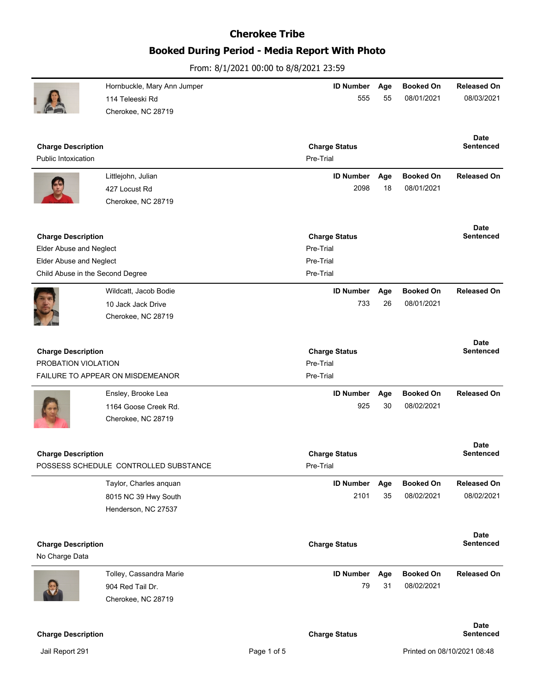# **Booked During Period - Media Report With Photo**

|                                             | Hornbuckle, Mary Ann Jumper           | <b>ID Number</b>       | Age | <b>Booked On</b> | <b>Released On</b>              |
|---------------------------------------------|---------------------------------------|------------------------|-----|------------------|---------------------------------|
|                                             | 114 Teleeski Rd                       | 555                    | 55  | 08/01/2021       | 08/03/2021                      |
|                                             | Cherokee, NC 28719                    |                        |     |                  |                                 |
|                                             |                                       |                        |     |                  |                                 |
| <b>Charge Description</b>                   |                                       | <b>Charge Status</b>   |     |                  | <b>Date</b><br>Sentenced        |
| <b>Public Intoxication</b>                  |                                       | Pre-Trial              |     |                  |                                 |
|                                             | Littlejohn, Julian                    | <b>ID Number</b>       | Age | <b>Booked On</b> | <b>Released On</b>              |
|                                             | 427 Locust Rd                         | 2098                   | 18  | 08/01/2021       |                                 |
|                                             | Cherokee, NC 28719                    |                        |     |                  |                                 |
|                                             |                                       |                        |     |                  |                                 |
|                                             |                                       |                        |     |                  | <b>Date</b>                     |
| <b>Charge Description</b>                   |                                       | <b>Charge Status</b>   |     |                  | Sentenced                       |
| <b>Elder Abuse and Neglect</b>              |                                       | Pre-Trial              |     |                  |                                 |
| <b>Elder Abuse and Neglect</b>              |                                       | Pre-Trial<br>Pre-Trial |     |                  |                                 |
| Child Abuse in the Second Degree            |                                       |                        |     |                  |                                 |
|                                             | Wildcatt, Jacob Bodie                 | <b>ID Number</b>       | Age | <b>Booked On</b> | <b>Released On</b>              |
|                                             | 10 Jack Jack Drive                    | 733                    | 26  | 08/01/2021       |                                 |
|                                             | Cherokee, NC 28719                    |                        |     |                  |                                 |
|                                             |                                       |                        |     |                  |                                 |
| <b>Charge Description</b>                   |                                       | <b>Charge Status</b>   |     |                  | <b>Date</b><br><b>Sentenced</b> |
| PROBATION VIOLATION                         |                                       | Pre-Trial              |     |                  |                                 |
|                                             | FAILURE TO APPEAR ON MISDEMEANOR      | Pre-Trial              |     |                  |                                 |
|                                             | Ensley, Brooke Lea                    | <b>ID Number</b>       | Age | <b>Booked On</b> | <b>Released On</b>              |
|                                             | 1164 Goose Creek Rd.                  | 925                    | 30  | 08/02/2021       |                                 |
|                                             | Cherokee, NC 28719                    |                        |     |                  |                                 |
|                                             |                                       |                        |     |                  |                                 |
|                                             |                                       |                        |     |                  | <b>Date</b>                     |
| <b>Charge Description</b>                   |                                       | <b>Charge Status</b>   |     |                  | <b>Sentenced</b>                |
|                                             | POSSESS SCHEDULE CONTROLLED SUBSTANCE | Pre-Trial              |     |                  |                                 |
|                                             | Taylor, Charles anquan                | <b>ID Number</b>       | Age | <b>Booked On</b> | <b>Released On</b>              |
|                                             | 8015 NC 39 Hwy South                  | 2101                   | 35  | 08/02/2021       | 08/02/2021                      |
|                                             | Henderson, NC 27537                   |                        |     |                  |                                 |
|                                             |                                       |                        |     |                  |                                 |
|                                             |                                       |                        |     |                  | <b>Date</b>                     |
| <b>Charge Description</b><br>No Charge Data |                                       | <b>Charge Status</b>   |     |                  | Sentenced                       |
|                                             |                                       |                        |     |                  |                                 |
|                                             | Tolley, Cassandra Marie               | <b>ID Number</b>       | Age | <b>Booked On</b> | <b>Released On</b>              |
|                                             | 904 Red Tail Dr.                      | 79                     | 31  | 08/02/2021       |                                 |
|                                             | Cherokee, NC 28719                    |                        |     |                  |                                 |
|                                             |                                       |                        |     |                  |                                 |
| <b>Charge Description</b>                   |                                       | <b>Charge Status</b>   |     |                  | <b>Date</b><br>Sentenced        |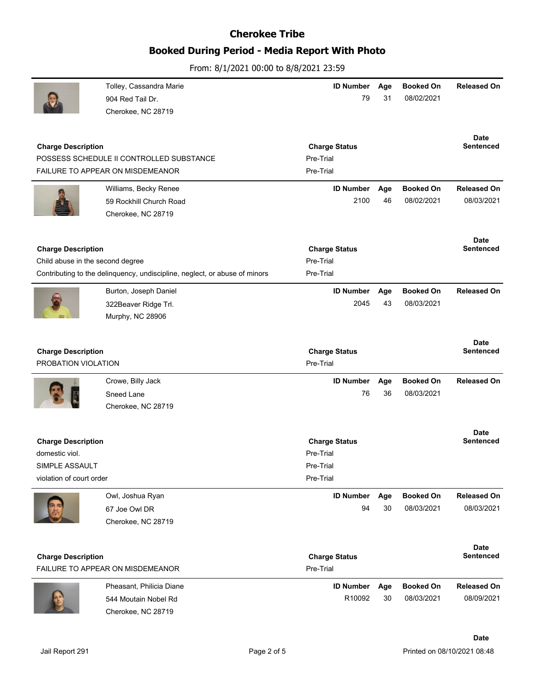### **Booked During Period - Media Report With Photo**

|                                                                                           | Tolley, Cassandra Marie<br>904 Red Tail Dr.                                                        | <b>ID Number</b><br>79                                      | Age<br>31 | <b>Booked On</b><br>08/02/2021 | <b>Released On</b>               |
|-------------------------------------------------------------------------------------------|----------------------------------------------------------------------------------------------------|-------------------------------------------------------------|-----------|--------------------------------|----------------------------------|
| <b>Charge Description</b>                                                                 | Cherokee, NC 28719<br>POSSESS SCHEDULE II CONTROLLED SUBSTANCE<br>FAILURE TO APPEAR ON MISDEMEANOR | <b>Charge Status</b><br>Pre-Trial<br>Pre-Trial              |           |                                | <b>Date</b><br><b>Sentenced</b>  |
|                                                                                           | Williams, Becky Renee<br>59 Rockhill Church Road<br>Cherokee, NC 28719                             | <b>ID Number</b><br>2100                                    | Age<br>46 | <b>Booked On</b><br>08/02/2021 | <b>Released On</b><br>08/03/2021 |
| <b>Charge Description</b><br>Child abuse in the second degree                             | Contributing to the delinquency, undiscipline, neglect, or abuse of minors                         | <b>Charge Status</b><br>Pre-Trial<br>Pre-Trial              |           |                                | <b>Date</b><br><b>Sentenced</b>  |
|                                                                                           | Burton, Joseph Daniel<br>322Beaver Ridge Trl.<br>Murphy, NC 28906                                  | <b>ID Number</b><br>2045                                    | Age<br>43 | <b>Booked On</b><br>08/03/2021 | <b>Released On</b>               |
| <b>Charge Description</b><br>PROBATION VIOLATION                                          |                                                                                                    | <b>Charge Status</b><br>Pre-Trial                           |           |                                | Date<br><b>Sentenced</b>         |
|                                                                                           | Crowe, Billy Jack<br>Sneed Lane<br>Cherokee, NC 28719                                              | <b>ID Number</b><br>76                                      | Age<br>36 | <b>Booked On</b><br>08/03/2021 | <b>Released On</b>               |
| <b>Charge Description</b><br>domestic viol.<br>SIMPLE ASSAULT<br>violation of court order |                                                                                                    | <b>Charge Status</b><br>Pre-Trial<br>Pre-Trial<br>Pre-Trial |           |                                | Date<br><b>Sentenced</b>         |
|                                                                                           | Owl, Joshua Ryan<br>67 Joe Owl DR<br>Cherokee, NC 28719                                            | <b>ID Number</b><br>94                                      | Age<br>30 | <b>Booked On</b><br>08/03/2021 | <b>Released On</b><br>08/03/2021 |
| <b>Charge Description</b>                                                                 | FAILURE TO APPEAR ON MISDEMEANOR                                                                   | <b>Charge Status</b><br>Pre-Trial                           |           |                                | Date<br><b>Sentenced</b>         |
|                                                                                           | Pheasant, Philicia Diane<br>544 Moutain Nobel Rd<br>Cherokee, NC 28719                             | <b>ID Number</b><br>R10092                                  | Age<br>30 | <b>Booked On</b><br>08/03/2021 | <b>Released On</b><br>08/09/2021 |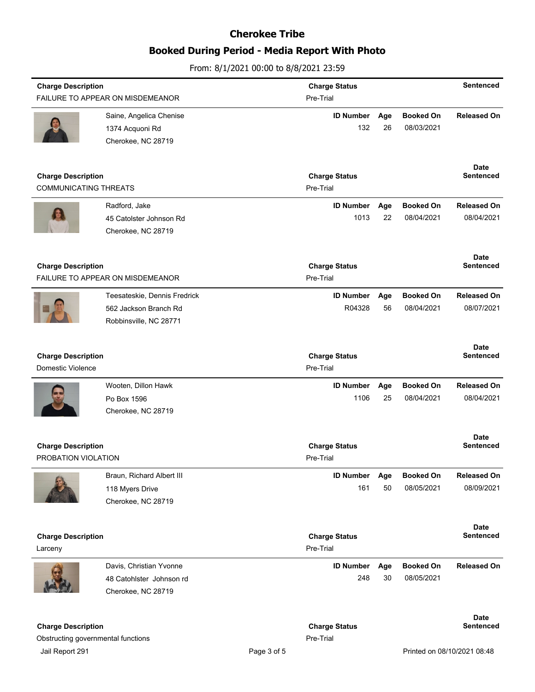# **Booked During Period - Media Report With Photo**

| <b>Charge Description</b>                                       |                                            | <b>Charge Status</b>              |                                   |           | <b>Sentenced</b>               |                                 |
|-----------------------------------------------------------------|--------------------------------------------|-----------------------------------|-----------------------------------|-----------|--------------------------------|---------------------------------|
|                                                                 | FAILURE TO APPEAR ON MISDEMEANOR           |                                   | Pre-Trial                         |           |                                |                                 |
|                                                                 | Saine, Angelica Chenise<br>1374 Acquoni Rd |                                   | <b>ID Number</b><br>132           | Age<br>26 | <b>Booked On</b><br>08/03/2021 | <b>Released On</b>              |
|                                                                 | Cherokee, NC 28719                         |                                   |                                   |           |                                |                                 |
| <b>Charge Description</b><br><b>COMMUNICATING THREATS</b>       |                                            | <b>Charge Status</b><br>Pre-Trial |                                   |           | Date<br><b>Sentenced</b>       |                                 |
|                                                                 | Radford, Jake                              |                                   | <b>ID Number</b>                  | Age       | <b>Booked On</b>               | <b>Released On</b>              |
|                                                                 | 45 Catolster Johnson Rd                    |                                   | 1013                              | 22        | 08/04/2021                     | 08/04/2021                      |
|                                                                 | Cherokee, NC 28719                         |                                   |                                   |           |                                |                                 |
| <b>Charge Description</b>                                       |                                            |                                   | <b>Charge Status</b>              |           |                                | Date<br><b>Sentenced</b>        |
|                                                                 | FAILURE TO APPEAR ON MISDEMEANOR           |                                   | Pre-Trial                         |           |                                |                                 |
|                                                                 | Teesateskie, Dennis Fredrick               |                                   | <b>ID Number</b>                  | Age       | <b>Booked On</b>               | <b>Released On</b>              |
|                                                                 | 562 Jackson Branch Rd                      |                                   | R04328                            | 56        | 08/04/2021                     | 08/07/2021                      |
|                                                                 | Robbinsville, NC 28771                     |                                   |                                   |           |                                |                                 |
| <b>Charge Description</b>                                       |                                            |                                   | <b>Charge Status</b>              |           |                                | <b>Date</b><br><b>Sentenced</b> |
| <b>Domestic Violence</b>                                        |                                            |                                   | Pre-Trial                         |           |                                |                                 |
|                                                                 | Wooten, Dillon Hawk                        |                                   | <b>ID Number</b>                  | Age       | <b>Booked On</b>               | <b>Released On</b>              |
|                                                                 | Po Box 1596                                |                                   | 1106                              | 25        | 08/04/2021                     | 08/04/2021                      |
|                                                                 | Cherokee, NC 28719                         |                                   |                                   |           |                                |                                 |
| <b>Charge Description</b>                                       |                                            |                                   | <b>Charge Status</b>              |           |                                | <b>Date</b><br><b>Sentenced</b> |
| PROBATION VIOLATION                                             |                                            |                                   | Pre-Trial                         |           |                                |                                 |
|                                                                 | Braun, Richard Albert III                  |                                   | <b>ID Number</b>                  | Age       | <b>Booked On</b>               | <b>Released On</b>              |
|                                                                 | 118 Myers Drive                            |                                   | 161                               | 50        | 08/05/2021                     | 08/09/2021                      |
|                                                                 | Cherokee, NC 28719                         |                                   |                                   |           |                                |                                 |
|                                                                 |                                            |                                   |                                   |           |                                | <b>Date</b><br><b>Sentenced</b> |
| <b>Charge Description</b><br>Larceny                            |                                            |                                   | <b>Charge Status</b><br>Pre-Trial |           |                                |                                 |
|                                                                 | Davis, Christian Yvonne                    |                                   | <b>ID Number</b>                  | Age       | <b>Booked On</b>               | <b>Released On</b>              |
|                                                                 | 48 Catohlster Johnson rd                   |                                   | 248                               | 30        | 08/05/2021                     |                                 |
|                                                                 | Cherokee, NC 28719                         |                                   |                                   |           |                                |                                 |
|                                                                 |                                            |                                   |                                   |           |                                | Date<br><b>Sentenced</b>        |
| <b>Charge Description</b><br>Obstructing governmental functions |                                            |                                   | <b>Charge Status</b><br>Pre-Trial |           |                                |                                 |
| Jail Report 291                                                 |                                            | Page 3 of 5                       |                                   |           |                                | Printed on 08/10/2021 08:48     |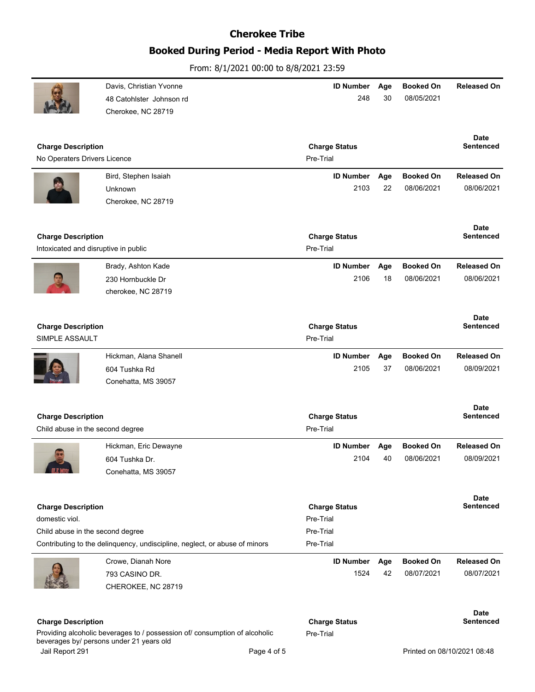## **Booked During Period - Media Report With Photo**

From: 8/1/2021 00:00 to 8/8/2021 23:59

|                                                               | Davis, Christian Yvonne<br>48 Catohlster Johnson rd<br>Cherokee, NC 28719  | <b>ID Number</b><br>248           | Age<br>30 | <b>Booked On</b><br>08/05/2021 | <b>Released On</b>              |
|---------------------------------------------------------------|----------------------------------------------------------------------------|-----------------------------------|-----------|--------------------------------|---------------------------------|
| <b>Charge Description</b><br>No Operaters Drivers Licence     |                                                                            | <b>Charge Status</b><br>Pre-Trial |           |                                | <b>Date</b><br><b>Sentenced</b> |
|                                                               | Bird, Stephen Isaiah                                                       | <b>ID Number</b>                  | Age       | <b>Booked On</b>               | <b>Released On</b>              |
|                                                               | Unknown<br>Cherokee, NC 28719                                              | 2103                              | 22        | 08/06/2021                     | 08/06/2021                      |
| <b>Charge Description</b>                                     |                                                                            | <b>Charge Status</b>              |           |                                | <b>Date</b><br><b>Sentenced</b> |
| Intoxicated and disruptive in public                          |                                                                            | Pre-Trial                         |           |                                |                                 |
|                                                               | Brady, Ashton Kade                                                         | <b>ID Number</b>                  | Age       | <b>Booked On</b>               | <b>Released On</b>              |
|                                                               | 230 Hornbuckle Dr<br>cherokee, NC 28719                                    | 2106                              | 18        | 08/06/2021                     | 08/06/2021                      |
| <b>Charge Description</b><br>SIMPLE ASSAULT                   |                                                                            | <b>Charge Status</b><br>Pre-Trial |           |                                | <b>Date</b><br><b>Sentenced</b> |
|                                                               | Hickman, Alana Shanell                                                     | <b>ID Number</b>                  | Age       | <b>Booked On</b>               | <b>Released On</b>              |
|                                                               | 604 Tushka Rd<br>Conehatta, MS 39057                                       | 2105                              | 37        | 08/06/2021                     | 08/09/2021                      |
| <b>Charge Description</b><br>Child abuse in the second degree |                                                                            | <b>Charge Status</b><br>Pre-Trial |           |                                | <b>Date</b><br><b>Sentenced</b> |
|                                                               | Hickman, Eric Dewayne                                                      | <b>ID Number</b>                  | Age       | <b>Booked On</b>               | <b>Released On</b>              |
|                                                               | 604 Tushka Dr.<br>Conehatta, MS 39057                                      | 2104                              | 40        | 08/06/2021                     | 08/09/2021                      |
| <b>Charge Description</b><br>domestic viol.                   |                                                                            | <b>Charge Status</b><br>Pre-Trial |           |                                | <b>Date</b><br><b>Sentenced</b> |
| Child abuse in the second degree                              |                                                                            | Pre-Trial                         |           |                                |                                 |
|                                                               | Contributing to the delinquency, undiscipline, neglect, or abuse of minors | Pre-Trial                         |           |                                |                                 |
|                                                               | Crowe, Dianah Nore                                                         | <b>ID Number</b>                  | Age       | <b>Booked On</b>               | <b>Released On</b>              |
|                                                               | 793 CASINO DR.<br>CHEROKEE, NC 28719                                       | 1524                              | 42        | 08/07/2021                     | 08/07/2021                      |
| <b>Charge Description</b>                                     |                                                                            | <b>Charge Status</b>              |           |                                | <b>Date</b><br><b>Sentenced</b> |
|                                                               | Providing alcoholic beverages to / possession of/ consumption of alcoholic |                                   |           |                                |                                 |

beverages by/ persons under 21 years old Jail Report 291 **Page 4 of 5** Page 4 of 5 **Page 4 of 5** Printed on 08/10/2021 08:48